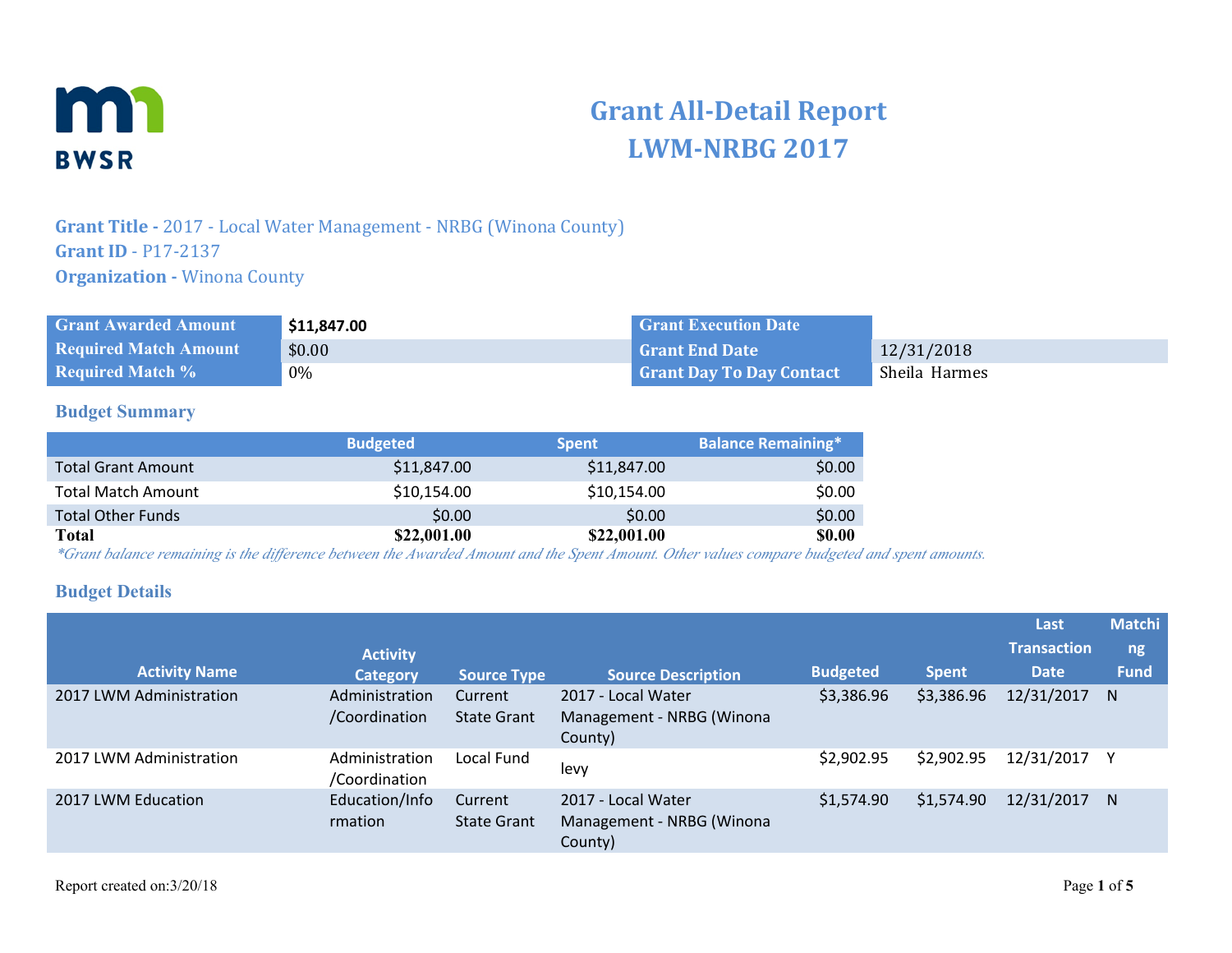

# **Grant All-Detail Report LWM-NRBG 2017**

## **Grant Title -** 2017 - Local Water Management - NRBG (Winona County) **Grant ID** - P17-2137 **Organization - Winona County**

| <b>Grant Awarded Amount</b>  | \$11,847.00 | <b>Grant Execution Date</b>     |               |
|------------------------------|-------------|---------------------------------|---------------|
| <b>Required Match Amount</b> | \$0.00      | <b>Grant End Date</b>           | 12/31/2018    |
| <b>Required Match %</b>      | 0%          | <b>Grant Day To Day Contact</b> | Sheila Harmes |

#### **Budget Summary**

|                           | <b>Budgeted</b> | <b>Spent</b> | <b>Balance Remaining*</b> |
|---------------------------|-----------------|--------------|---------------------------|
| <b>Total Grant Amount</b> | \$11,847.00     | \$11,847.00  | \$0.00                    |
| <b>Total Match Amount</b> | \$10,154.00     | \$10,154.00  | \$0.00                    |
| <b>Total Other Funds</b>  | \$0.00          | \$0.00       | \$0.00                    |
| Total                     | \$22,001.00     | \$22,001.00  | \$0.00                    |

*\*Grant balance remaining is the difference between the Awarded Amount and the Spent Amount. Other values compare budgeted and spent amounts.*

#### **Budget Details**

| <b>Activity Name</b>    | <b>Activity</b>                 |                               |                                                            | <b>Budgeted</b> |              | Last<br><b>Transaction</b><br><b>Date</b> | <b>Matchi</b><br>ng<br><b>Fund</b> |
|-------------------------|---------------------------------|-------------------------------|------------------------------------------------------------|-----------------|--------------|-------------------------------------------|------------------------------------|
|                         | <b>Category</b>                 | <b>Source Type</b>            | <b>Source Description</b>                                  |                 | <b>Spent</b> |                                           |                                    |
| 2017 LWM Administration | Administration<br>/Coordination | Current<br><b>State Grant</b> | 2017 - Local Water<br>Management - NRBG (Winona<br>County) | \$3,386.96      | \$3,386.96   | 12/31/2017                                | <sup>N</sup>                       |
| 2017 LWM Administration | Administration<br>/Coordination | Local Fund                    | levy                                                       | \$2,902.95      | \$2,902.95   | 12/31/2017                                |                                    |
| 2017 LWM Education      | Education/Info<br>rmation       | Current<br><b>State Grant</b> | 2017 - Local Water<br>Management - NRBG (Winona<br>County) | \$1,574.90      | \$1,574.90   | 12/31/2017 N                              |                                    |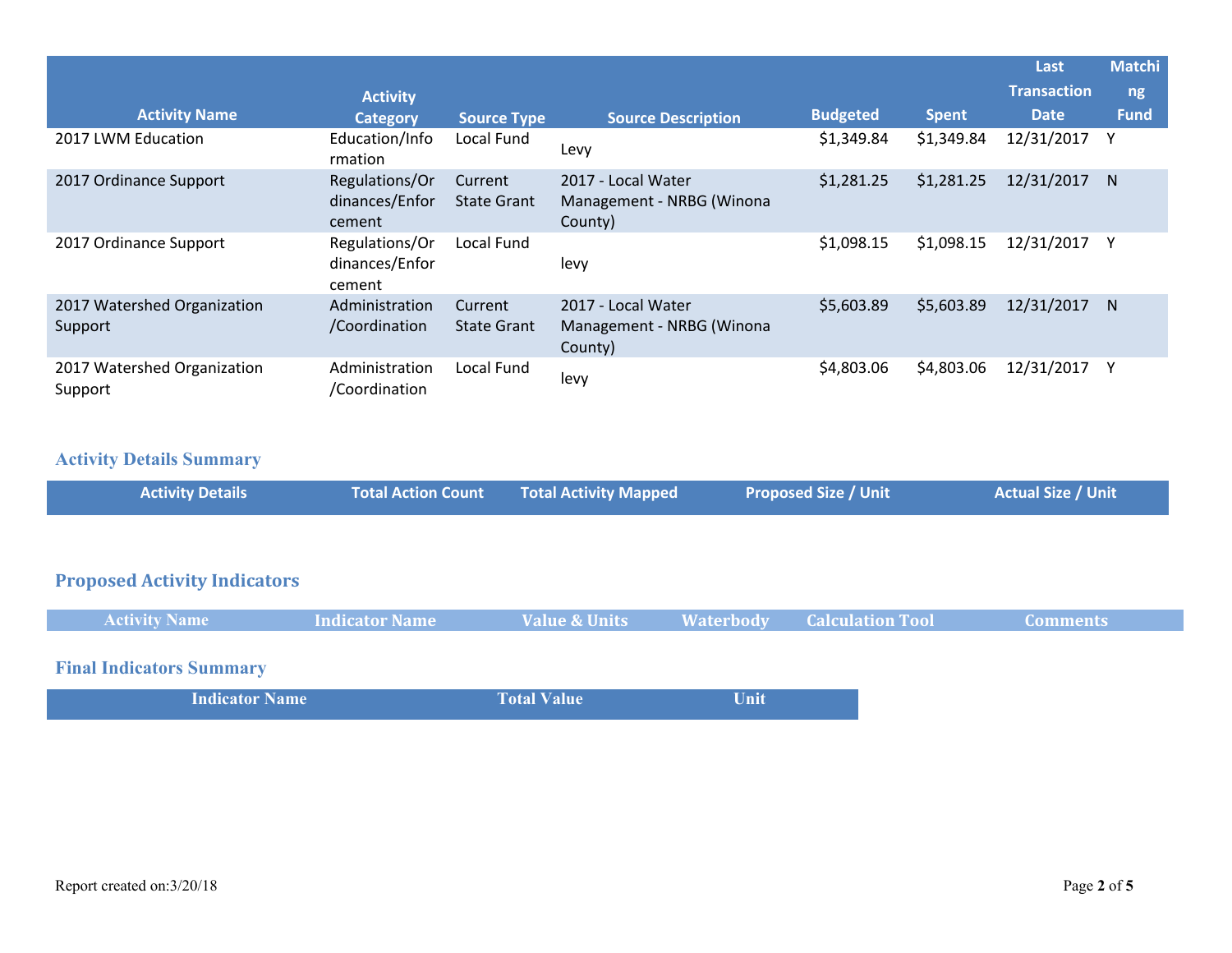|                                        |                                            |                               |                                                            |                 |              | Last               | <b>Matchi</b> |
|----------------------------------------|--------------------------------------------|-------------------------------|------------------------------------------------------------|-----------------|--------------|--------------------|---------------|
|                                        | <b>Activity</b>                            |                               |                                                            |                 |              | <b>Transaction</b> | ng            |
| <b>Activity Name</b>                   | <b>Category</b>                            | <b>Source Type</b>            | <b>Source Description</b>                                  | <b>Budgeted</b> | <b>Spent</b> | <b>Date</b>        | <b>Fund</b>   |
| 2017 LWM Education                     | Education/Info<br>rmation                  | Local Fund                    | Levy                                                       | \$1,349.84      | \$1,349.84   | 12/31/2017         |               |
| 2017 Ordinance Support                 | Regulations/Or<br>dinances/Enfor<br>cement | Current<br><b>State Grant</b> | 2017 - Local Water<br>Management - NRBG (Winona<br>County) | \$1,281.25      | \$1,281.25   | 12/31/2017         | N.            |
| 2017 Ordinance Support                 | Regulations/Or<br>dinances/Enfor<br>cement | Local Fund                    | levy                                                       | \$1,098.15      | \$1,098.15   | 12/31/2017         | Υ             |
| 2017 Watershed Organization<br>Support | Administration<br>/Coordination            | Current<br><b>State Grant</b> | 2017 - Local Water<br>Management - NRBG (Winona<br>County) | \$5,603.89      | \$5,603.89   | 12/31/2017         | N.            |
| 2017 Watershed Organization<br>Support | Administration<br>/Coordination            | Local Fund                    | levy                                                       | \$4,803.06      | \$4,803.06   | 12/31/2017         |               |

### **Activity Details Summary**

| <b>Activity Details</b>             | <b>Total Action Count</b> | <b>Total Activity Mapped</b> |                  | <b>Proposed Size / Unit</b> | <b>Actual Size / Unit</b> |
|-------------------------------------|---------------------------|------------------------------|------------------|-----------------------------|---------------------------|
|                                     |                           |                              |                  |                             |                           |
| <b>Proposed Activity Indicators</b> |                           |                              |                  |                             |                           |
| <b>Activity Name</b>                | <b>Indicator Name</b>     | <b>Value &amp; Units</b>     | <b>Waterbody</b> | <b>Calculation Tool</b>     | <b>Comments</b>           |
| <b>Final Indicators Summary</b>     |                           |                              |                  |                             |                           |
| <b>Indicator Name</b>               |                           | <b>Total Value</b>           | Unit             |                             |                           |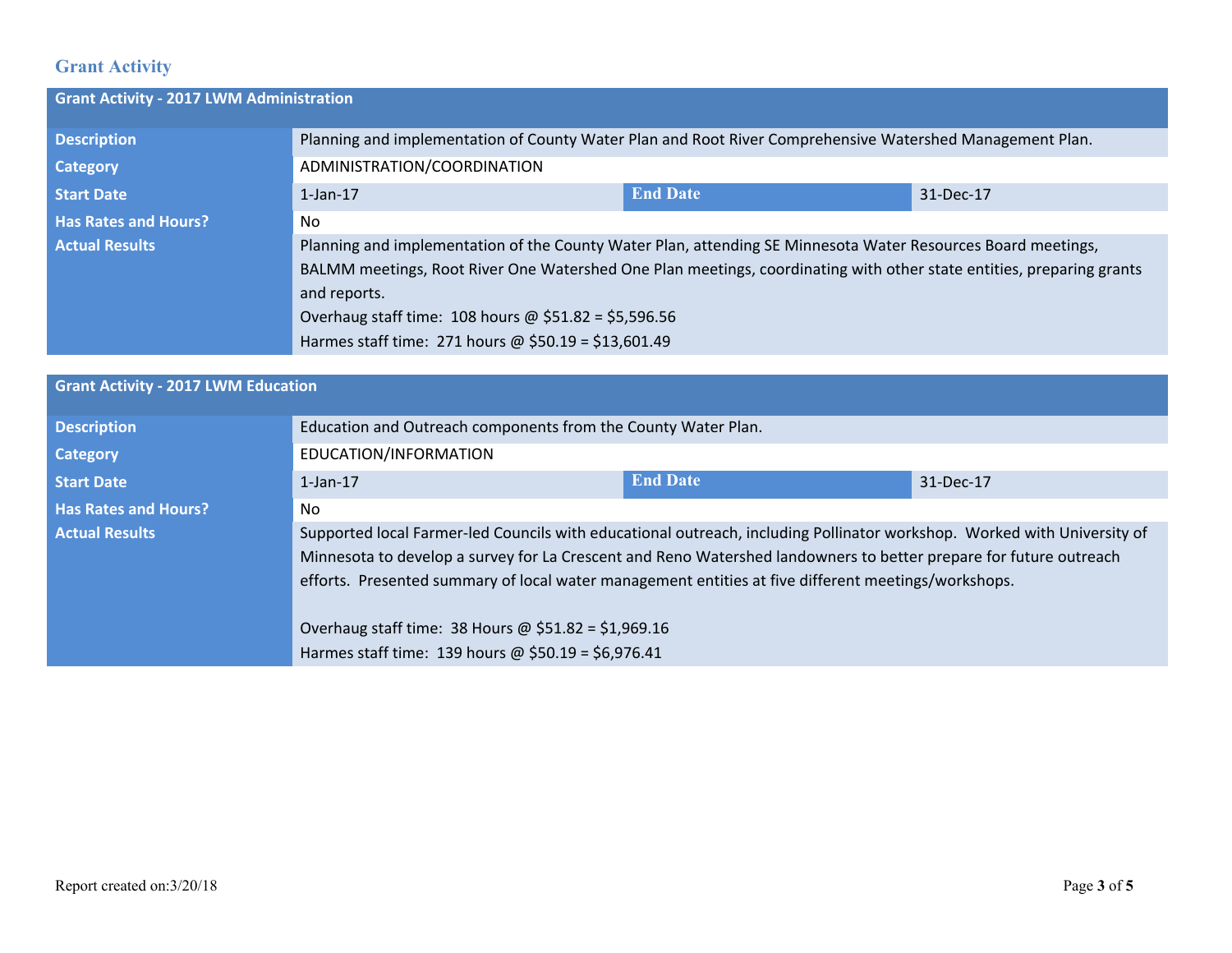## **Grant Activity**

| <b>Grant Activity - 2017 LWM Administration</b> |                                                                                                                      |                 |           |  |
|-------------------------------------------------|----------------------------------------------------------------------------------------------------------------------|-----------------|-----------|--|
| <b>Description</b>                              | Planning and implementation of County Water Plan and Root River Comprehensive Watershed Management Plan.             |                 |           |  |
| <b>Category</b>                                 | ADMINISTRATION/COORDINATION                                                                                          |                 |           |  |
| <b>Start Date</b>                               | $1$ -Jan- $17$                                                                                                       | <b>End Date</b> | 31-Dec-17 |  |
| <b>Has Rates and Hours?</b>                     | No.                                                                                                                  |                 |           |  |
| <b>Actual Results</b>                           | Planning and implementation of the County Water Plan, attending SE Minnesota Water Resources Board meetings,         |                 |           |  |
|                                                 | BALMM meetings, Root River One Watershed One Plan meetings, coordinating with other state entities, preparing grants |                 |           |  |
|                                                 | and reports.                                                                                                         |                 |           |  |
|                                                 | Overhaug staff time: 108 hours @ $$51.82 = $5,596.56$                                                                |                 |           |  |
|                                                 | Harmes staff time: 271 hours @ \$50.19 = \$13,601.49                                                                 |                 |           |  |

| <b>Grant Activity - 2017 LWM Education</b> |                                                                                                                         |                 |           |  |  |
|--------------------------------------------|-------------------------------------------------------------------------------------------------------------------------|-----------------|-----------|--|--|
| <b>Description</b>                         | Education and Outreach components from the County Water Plan.                                                           |                 |           |  |  |
| Category                                   | EDUCATION/INFORMATION                                                                                                   |                 |           |  |  |
| <b>Start Date</b>                          | $1$ -Jan- $17$                                                                                                          | <b>End Date</b> | 31-Dec-17 |  |  |
| <b>Has Rates and Hours?</b>                | No                                                                                                                      |                 |           |  |  |
| <b>Actual Results</b>                      | Supported local Farmer-led Councils with educational outreach, including Pollinator workshop. Worked with University of |                 |           |  |  |
|                                            | Minnesota to develop a survey for La Crescent and Reno Watershed landowners to better prepare for future outreach       |                 |           |  |  |
|                                            | efforts. Presented summary of local water management entities at five different meetings/workshops.                     |                 |           |  |  |
|                                            | Overhaug staff time: 38 Hours @ $$51.82 = $1,969.16$                                                                    |                 |           |  |  |
|                                            | Harmes staff time: 139 hours @ \$50.19 = \$6,976.41                                                                     |                 |           |  |  |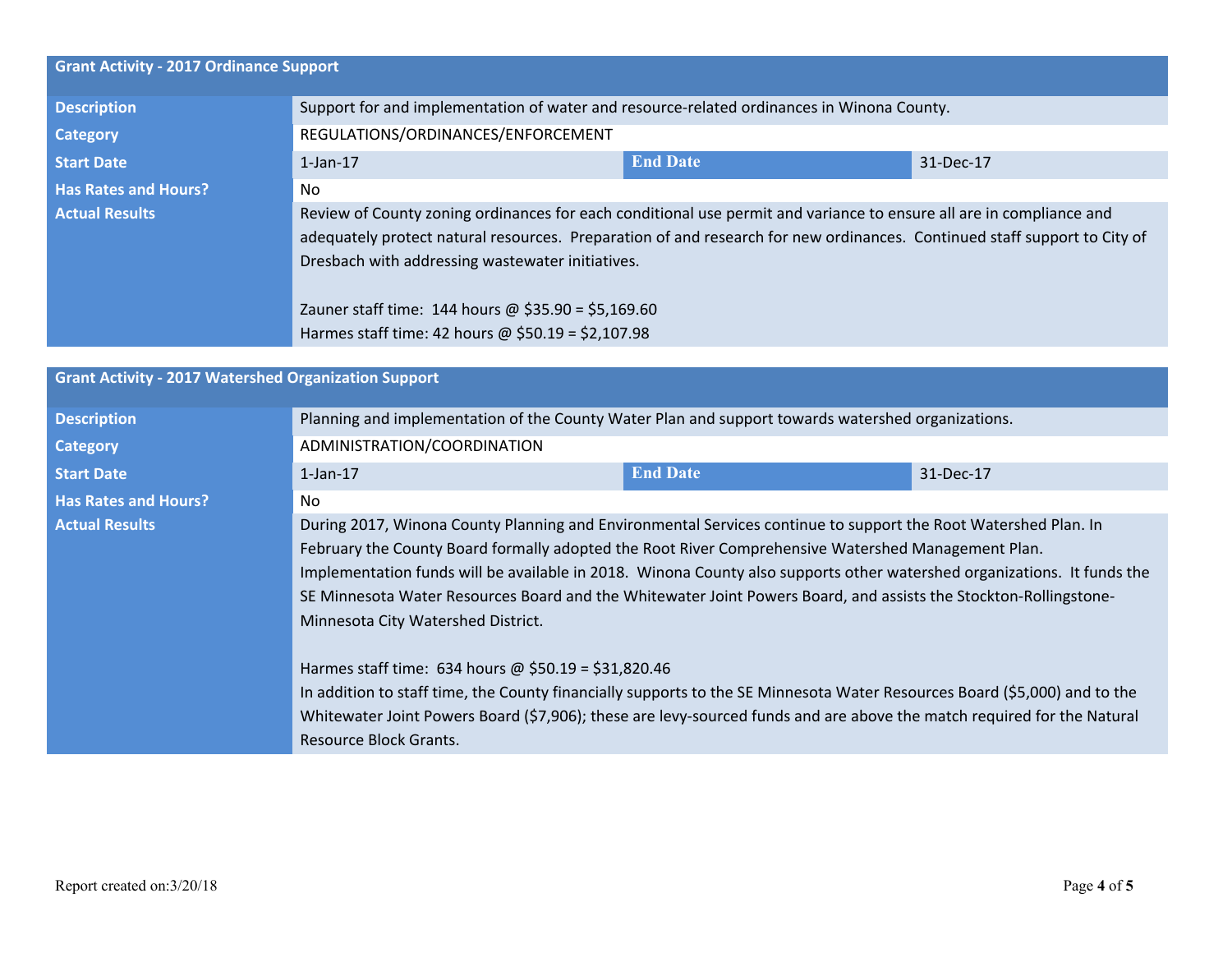| <b>Grant Activity - 2017 Ordinance Support</b>              |                                                                                                                          |                 |                                                                                                                                                                                                                                                     |  |  |  |  |
|-------------------------------------------------------------|--------------------------------------------------------------------------------------------------------------------------|-----------------|-----------------------------------------------------------------------------------------------------------------------------------------------------------------------------------------------------------------------------------------------------|--|--|--|--|
| <b>Description</b>                                          | Support for and implementation of water and resource-related ordinances in Winona County.                                |                 |                                                                                                                                                                                                                                                     |  |  |  |  |
| <b>Category</b>                                             | REGULATIONS/ORDINANCES/ENFORCEMENT                                                                                       |                 |                                                                                                                                                                                                                                                     |  |  |  |  |
| <b>Start Date</b>                                           | $1$ -Jan- $17$                                                                                                           | <b>End Date</b> | 31-Dec-17                                                                                                                                                                                                                                           |  |  |  |  |
| <b>Has Rates and Hours?</b>                                 | No                                                                                                                       |                 |                                                                                                                                                                                                                                                     |  |  |  |  |
| <b>Actual Results</b>                                       | Review of County zoning ordinances for each conditional use permit and variance to ensure all are in compliance and      |                 |                                                                                                                                                                                                                                                     |  |  |  |  |
|                                                             | adequately protect natural resources. Preparation of and research for new ordinances. Continued staff support to City of |                 |                                                                                                                                                                                                                                                     |  |  |  |  |
|                                                             | Dresbach with addressing wastewater initiatives.                                                                         |                 |                                                                                                                                                                                                                                                     |  |  |  |  |
|                                                             |                                                                                                                          |                 |                                                                                                                                                                                                                                                     |  |  |  |  |
|                                                             | Zauner staff time: 144 hours @ $$35.90 = $5,169.60$                                                                      |                 |                                                                                                                                                                                                                                                     |  |  |  |  |
|                                                             | Harmes staff time: 42 hours @ \$50.19 = \$2,107.98                                                                       |                 |                                                                                                                                                                                                                                                     |  |  |  |  |
| <b>Grant Activity - 2017 Watershed Organization Support</b> |                                                                                                                          |                 |                                                                                                                                                                                                                                                     |  |  |  |  |
|                                                             |                                                                                                                          |                 |                                                                                                                                                                                                                                                     |  |  |  |  |
| <b>Description</b>                                          | Planning and implementation of the County Water Plan and support towards watershed organizations.                        |                 |                                                                                                                                                                                                                                                     |  |  |  |  |
| <b>Category</b>                                             | ADMINISTRATION/COORDINATION                                                                                              |                 |                                                                                                                                                                                                                                                     |  |  |  |  |
| <b>Start Date</b>                                           | $1$ -Jan- $17$                                                                                                           | <b>End Date</b> | 31-Dec-17                                                                                                                                                                                                                                           |  |  |  |  |
| <b>Has Rates and Hours?</b>                                 | <b>No</b>                                                                                                                |                 |                                                                                                                                                                                                                                                     |  |  |  |  |
| <b>Actual Results</b>                                       | During 2017, Winona County Planning and Environmental Services continue to support the Root Watershed Plan. In           |                 |                                                                                                                                                                                                                                                     |  |  |  |  |
|                                                             | February the County Board formally adopted the Root River Comprehensive Watershed Management Plan.                       |                 |                                                                                                                                                                                                                                                     |  |  |  |  |
|                                                             | Implementation funds will be available in 2018. Winona County also supports other watershed organizations. It funds the  |                 |                                                                                                                                                                                                                                                     |  |  |  |  |
|                                                             | SE Minnesota Water Resources Board and the Whitewater Joint Powers Board, and assists the Stockton-Rollingstone-         |                 |                                                                                                                                                                                                                                                     |  |  |  |  |
|                                                             | Minnesota City Watershed District.                                                                                       |                 |                                                                                                                                                                                                                                                     |  |  |  |  |
|                                                             |                                                                                                                          |                 |                                                                                                                                                                                                                                                     |  |  |  |  |
|                                                             | Harmes staff time: 634 hours @ \$50.19 = \$31,820.46                                                                     |                 |                                                                                                                                                                                                                                                     |  |  |  |  |
|                                                             |                                                                                                                          |                 |                                                                                                                                                                                                                                                     |  |  |  |  |
|                                                             |                                                                                                                          |                 | In addition to staff time, the County financially supports to the SE Minnesota Water Resources Board (\$5,000) and to the<br>Whitewater Joint Powers Board (\$7,906); these are levy-sourced funds and are above the match required for the Natural |  |  |  |  |